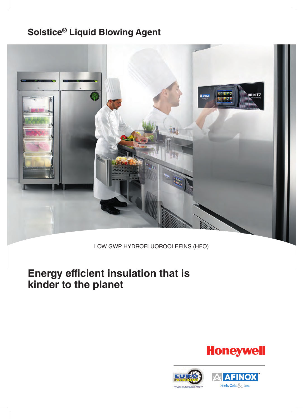# **Solstice® Liquid Blowing Agent**



LOW GWP HYDROFLUOROOLEFINS (HFO)

# **Energy efficient insulation that is kinder to the planet**





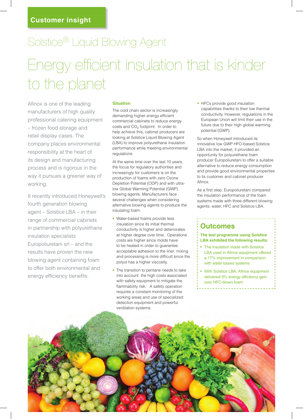# Solstice® Liquid Blowing Agent Energy efficient insulation that is kinder to the planet

Afinox is one of the leading manufacturers of high quality professional catering equipment – frozen food storage and retail display cases. The company places environmental responsibility at the heart of its design and manufacturing process and is rigorous in the way it pursues a greener way of working.

It recently introduced Honeywell's fourth generation blowing agent – Solstice LBA – in their range of commercial cabinets in partnership with polyurethane insulation specialists Europoliuretani srl – and the results have proven the new blowing agent containing foam to offer both environmental and energy efficiency benefits.

## **Situation**

The cold chain sector is increasingly demanding higher energy efficient commercial cabinets to reduce energy costs and  $CO<sub>2</sub>$  footprint. In order to help achieve this, cabinet producers are looking at Solstice Liquid Blowing Agent (LBA) to improve polyurethane insulation performance while meeting environmental regulations.

At the same time over the last 10 years, the focus for regulatory authorities and increasingly for customers is on the production of foams with zero Ozone Depletion Potential (ODP) and with ultralow Global Warming Potential (GWP) blowing agents. Manufacturers face several challenges when considering alternative blowing agents to produce the insulating foam:

- Water-based foams provide less insulation since its initial thermal conductivity is higher and deteriorates at higher degree over time. Operations costs are higher since molds have to be heated in order to guarantee acceptable adhesion to the liner; mixing and processing is more difficult since the polyol has a higher viscosity.
- The transition to pentane needs to take into account the high costs associated with safety equipment to mitigate the flammability risk. A safety operation requires a constant monitoring of the working areas and use of specialized detection equipment and powerful ventilation systems.

• HFCs provide good insulation capabilities thanks to their low thermal conductivity. However, regulations in the European Union will limit their use in the future due to their high global warming potential (GWP).

So when Honeywell introduced its innovative low GWP HFO-based Solstice LBA into the market, it provided an opportunity for polyurethane foam producer Europoliuretani to offer a suitable alternative to reduce energy consumption and provide good environmental properties to its customer and cabinet producer Afinox.

As a first step, Europoliuretani compared the insulation performance of the foam systems made with three different blowing agents: water, HFC and Solstice LBA.

# **Outcomes**

**The test programme using Solstice LBA exhibited the following results:**

- The insulation made with Solstice LBA used in Afinox equipment offered a 17% improvement in comparison with water based systems
- With Solstice LBA, Afinox equipment delivered 3% energy efficiency gain over HFC-blown foam

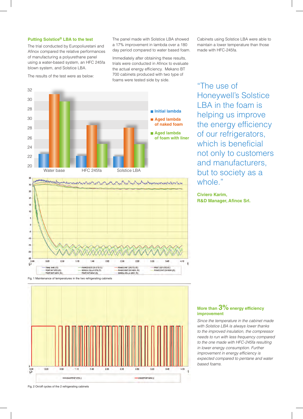## **Putting Solstice® LBA to the test**

The trial conducted by Europoliuretani and Afinox compared the relative performances of manufacturing a polyurethane panel using a water-based system, an HFC 245fa blown system, and Solstice LBA.

The results of the test were as below:

The panel made with Solstice LBA showed a 17% improvement in lambda over a 180 day period compared to water based foam.

Immediately after obtaining these results, trials were conducted in Afinox to evaluate the actual energy efficiency. Mekano BT 700 cabinets produced with two type of foams were tested side by side.

Cabinets using Solstice LBA were able to maintain a lower temperature than those made with HFC-245fa.



"The use of Honeywell's Solstice LBA in the foam is helping us improve the energy efficiency of our refrigerators, which is beneficial not only to customers and manufacturers, but to society as a whole."

**Civiero Karim, R&D Manager, Afinox Srl.**



# **More than 3% energy efficiency improvement**

*Since the temperature in the cabinet made with Solstice LBA is always lower thanks to the improved insulation, the compressor needs to run with less frequency compared to the one made with HFC-245fa resulting in lower energy consumption. Further improvement in energy efficiency is expected compared to pentane and water based foams.* 

Fig. 2 On/off cycles of the 2 refrigerating cabinets

Fig. 1 Maintenance of temperatures in the two refrigerating cabinets